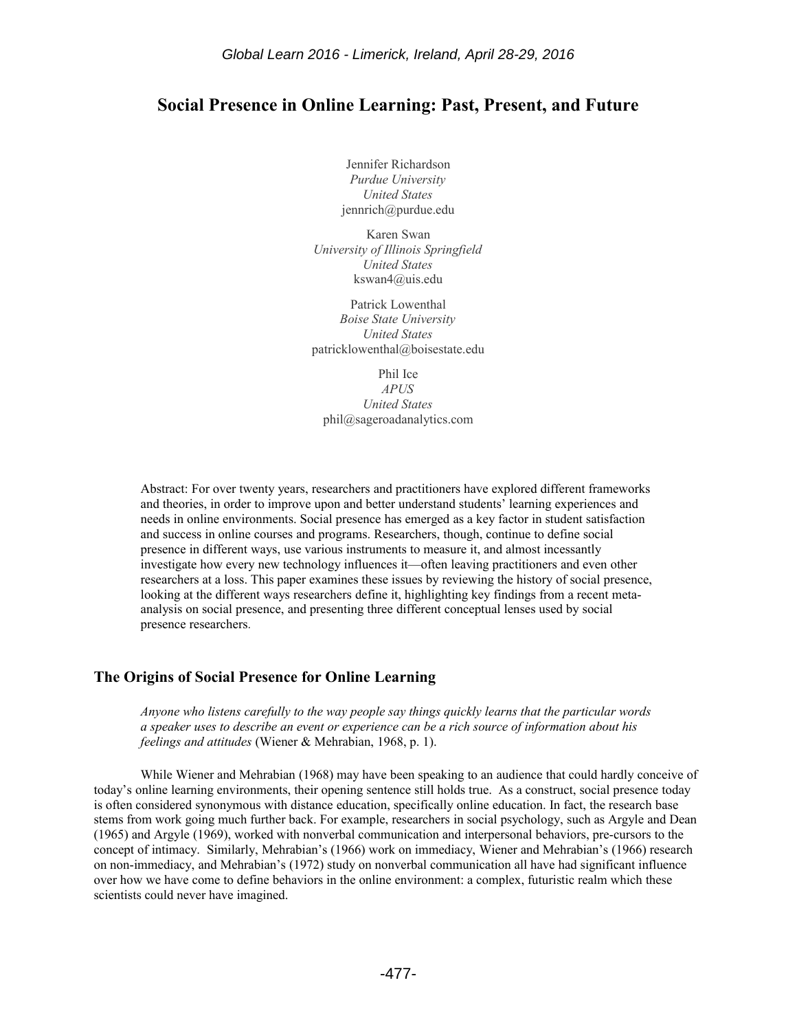# **Social Presence in Online Learning: Past, Present, and Future**

Jennifer Richardson *Purdue University United States* jennrich@purdue.edu

Karen Swan *University of Illinois Springfield United States* kswan4@uis.edu

Patrick Lowenthal *Boise State University United States* patricklowenthal@boisestate.edu

Phil Ice

*APUS United States* phil@sageroadanalytics.com

Abstract: For over twenty years, researchers and practitioners have explored different frameworks and theories, in order to improve upon and better understand students' learning experiences and needs in online environments. Social presence has emerged as a key factor in student satisfaction and success in online courses and programs. Researchers, though, continue to define social presence in different ways, use various instruments to measure it, and almost incessantly investigate how every new technology influences it—often leaving practitioners and even other researchers at a loss. This paper examines these issues by reviewing the history of social presence, looking at the different ways researchers define it, highlighting key findings from a recent metaanalysis on social presence, and presenting three different conceptual lenses used by social presence researchers.

#### **The Origins of Social Presence for Online Learning**

*Anyone who listens carefully to the way people say things quickly learns that the particular words a speaker uses to describe an event or experience can be a rich source of information about his feelings and attitudes* (Wiener & Mehrabian, 1968, p. 1).

While Wiener and Mehrabian (1968) may have been speaking to an audience that could hardly conceive of today's online learning environments, their opening sentence still holds true. As a construct, social presence today is often considered synonymous with distance education, specifically online education. In fact, the research base stems from work going much further back. For example, researchers in social psychology, such as Argyle and Dean (1965) and Argyle (1969), worked with nonverbal communication and interpersonal behaviors, pre-cursors to the concept of intimacy. Similarly, Mehrabian's (1966) work on immediacy, Wiener and Mehrabian's (1966) research on non-immediacy, and Mehrabian's (1972) study on nonverbal communication all have had significant influence over how we have come to define behaviors in the online environment: a complex, futuristic realm which these scientists could never have imagined.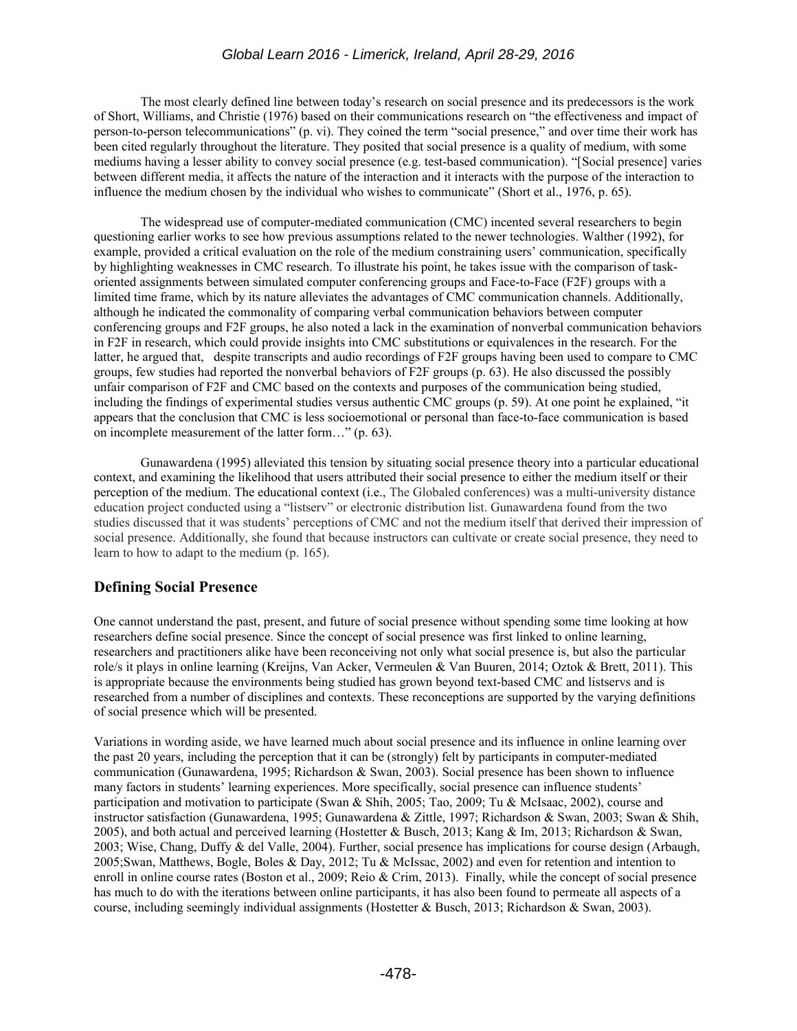### *Global Learn 2016 - Limerick, Ireland, April 28-29, 2016*

The most clearly defined line between today's research on social presence and its predecessors is the work of Short, Williams, and Christie (1976) based on their communications research on "the effectiveness and impact of person-to-person telecommunications" (p. vi). They coined the term "social presence," and over time their work has been cited regularly throughout the literature. They posited that social presence is a quality of medium, with some mediums having a lesser ability to convey social presence (e.g. test-based communication). "[Social presence] varies between different media, it affects the nature of the interaction and it interacts with the purpose of the interaction to influence the medium chosen by the individual who wishes to communicate" (Short et al., 1976, p. 65).

The widespread use of computer-mediated communication (CMC) incented several researchers to begin questioning earlier works to see how previous assumptions related to the newer technologies. Walther (1992), for example, provided a critical evaluation on the role of the medium constraining users' communication, specifically by highlighting weaknesses in CMC research. To illustrate his point, he takes issue with the comparison of taskoriented assignments between simulated computer conferencing groups and Face-to-Face (F2F) groups with a limited time frame, which by its nature alleviates the advantages of CMC communication channels. Additionally, although he indicated the commonality of comparing verbal communication behaviors between computer conferencing groups and F2F groups, he also noted a lack in the examination of nonverbal communication behaviors in F2F in research, which could provide insights into CMC substitutions or equivalences in the research. For the latter, he argued that, despite transcripts and audio recordings of F2F groups having been used to compare to CMC groups, few studies had reported the nonverbal behaviors of F2F groups (p. 63). He also discussed the possibly unfair comparison of F2F and CMC based on the contexts and purposes of the communication being studied, including the findings of experimental studies versus authentic CMC groups (p. 59). At one point he explained, "it appears that the conclusion that CMC is less socioemotional or personal than face-to-face communication is based on incomplete measurement of the latter form…" (p. 63).

Gunawardena (1995) alleviated this tension by situating social presence theory into a particular educational context, and examining the likelihood that users attributed their social presence to either the medium itself or their perception of the medium. The educational context (i.e., The Globaled conferences) was a multi-university distance education project conducted using a "listserv" or electronic distribution list. Gunawardena found from the two studies discussed that it was students' perceptions of CMC and not the medium itself that derived their impression of social presence. Additionally, she found that because instructors can cultivate or create social presence, they need to learn to how to adapt to the medium (p. 165).

## **Defining Social Presence**

One cannot understand the past, present, and future of social presence without spending some time looking at how researchers define social presence. Since the concept of social presence was first linked to online learning, researchers and practitioners alike have been reconceiving not only what social presence is, but also the particular role/s it plays in online learning (Kreijns, Van Acker, Vermeulen & Van Buuren, 2014; Oztok & Brett, 2011). This is appropriate because the environments being studied has grown beyond text-based CMC and listservs and is researched from a number of disciplines and contexts. These reconceptions are supported by the varying definitions of social presence which will be presented.

Variations in wording aside, we have learned much about social presence and its influence in online learning over the past 20 years, including the perception that it can be (strongly) felt by participants in computer-mediated communication (Gunawardena, 1995; Richardson & Swan, 2003). Social presence has been shown to influence many factors in students' learning experiences. More specifically, social presence can influence students' participation and motivation to participate (Swan & Shih, 2005; Tao, 2009; Tu & McIsaac, 2002), course and instructor satisfaction (Gunawardena, 1995; Gunawardena & Zittle, 1997; Richardson & Swan, 2003; Swan & Shih, 2005), and both actual and perceived learning (Hostetter & Busch, 2013; Kang & Im, 2013; Richardson & Swan, 2003; Wise, Chang, Duffy & del Valle, 2004). Further, social presence has implications for course design (Arbaugh, 2005;Swan, Matthews, Bogle, Boles & Day, 2012; Tu & McIssac, 2002) and even for retention and intention to enroll in online course rates (Boston et al., 2009; Reio & Crim, 2013). Finally, while the concept of social presence has much to do with the iterations between online participants, it has also been found to permeate all aspects of a course, including seemingly individual assignments (Hostetter & Busch, 2013; Richardson & Swan, 2003).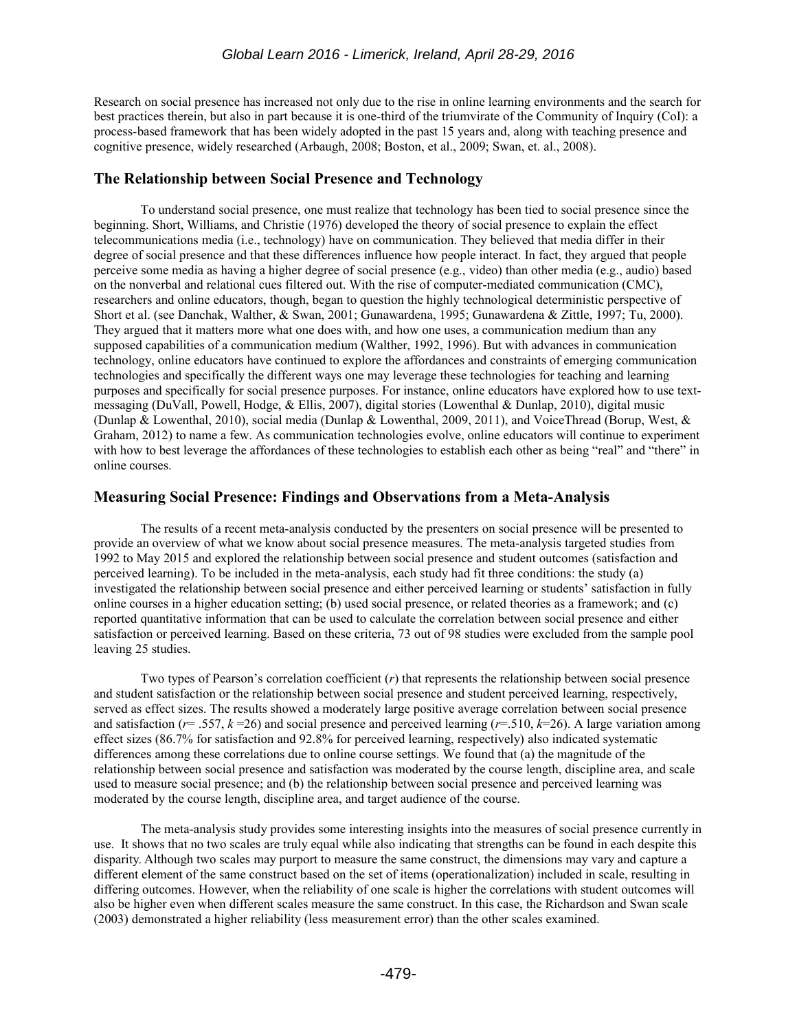Research on social presence has increased not only due to the rise in online learning environments and the search for best practices therein, but also in part because it is one-third of the triumvirate of the Community of Inquiry (CoI): a process-based framework that has been widely adopted in the past 15 years and, along with teaching presence and cognitive presence, widely researched (Arbaugh, 2008; Boston, et al., 2009; Swan, et. al., 2008).

#### **The Relationship between Social Presence and Technology**

To understand social presence, one must realize that technology has been tied to social presence since the beginning. Short, Williams, and Christie (1976) developed the theory of social presence to explain the effect telecommunications media (i.e., technology) have on communication. They believed that media differ in their degree of social presence and that these differences influence how people interact. In fact, they argued that people perceive some media as having a higher degree of social presence (e.g., video) than other media (e.g., audio) based on the nonverbal and relational cues filtered out. With the rise of computer-mediated communication (CMC), researchers and online educators, though, began to question the highly technological deterministic perspective of Short et al. (see Danchak, Walther, & Swan, 2001; Gunawardena, 1995; Gunawardena & Zittle, 1997; Tu, 2000). They argued that it matters more what one does with, and how one uses, a communication medium than any supposed capabilities of a communication medium (Walther, 1992, 1996). But with advances in communication technology, online educators have continued to explore the affordances and constraints of emerging communication technologies and specifically the different ways one may leverage these technologies for teaching and learning purposes and specifically for social presence purposes. For instance, online educators have explored how to use textmessaging (DuVall, Powell, Hodge, & Ellis, 2007), digital stories (Lowenthal & Dunlap, 2010), digital music (Dunlap & Lowenthal, 2010), social media (Dunlap & Lowenthal, 2009, 2011), and VoiceThread (Borup, West, & Graham, 2012) to name a few. As communication technologies evolve, online educators will continue to experiment with how to best leverage the affordances of these technologies to establish each other as being "real" and "there" in online courses.

### **Measuring Social Presence: Findings and Observations from a Meta-Analysis**

The results of a recent meta-analysis conducted by the presenters on social presence will be presented to provide an overview of what we know about social presence measures. The meta-analysis targeted studies from 1992 to May 2015 and explored the relationship between social presence and student outcomes (satisfaction and perceived learning). To be included in the meta-analysis, each study had fit three conditions: the study (a) investigated the relationship between social presence and either perceived learning or students' satisfaction in fully online courses in a higher education setting; (b) used social presence, or related theories as a framework; and (c) reported quantitative information that can be used to calculate the correlation between social presence and either satisfaction or perceived learning. Based on these criteria, 73 out of 98 studies were excluded from the sample pool leaving 25 studies.

Two types of Pearson's correlation coefficient (*r*) that represents the relationship between social presence and student satisfaction or the relationship between social presence and student perceived learning, respectively, served as effect sizes. The results showed a moderately large positive average correlation between social presence and satisfaction ( $r = .557$ ,  $k = 26$ ) and social presence and perceived learning ( $r = .510$ ,  $k = 26$ ). A large variation among effect sizes (86.7% for satisfaction and 92.8% for perceived learning, respectively) also indicated systematic differences among these correlations due to online course settings. We found that (a) the magnitude of the relationship between social presence and satisfaction was moderated by the course length, discipline area, and scale used to measure social presence; and (b) the relationship between social presence and perceived learning was moderated by the course length, discipline area, and target audience of the course.

The meta-analysis study provides some interesting insights into the measures of social presence currently in use. It shows that no two scales are truly equal while also indicating that strengths can be found in each despite this disparity. Although two scales may purport to measure the same construct, the dimensions may vary and capture a different element of the same construct based on the set of items (operationalization) included in scale, resulting in differing outcomes. However, when the reliability of one scale is higher the correlations with student outcomes will also be higher even when different scales measure the same construct. In this case, the Richardson and Swan scale (2003) demonstrated a higher reliability (less measurement error) than the other scales examined.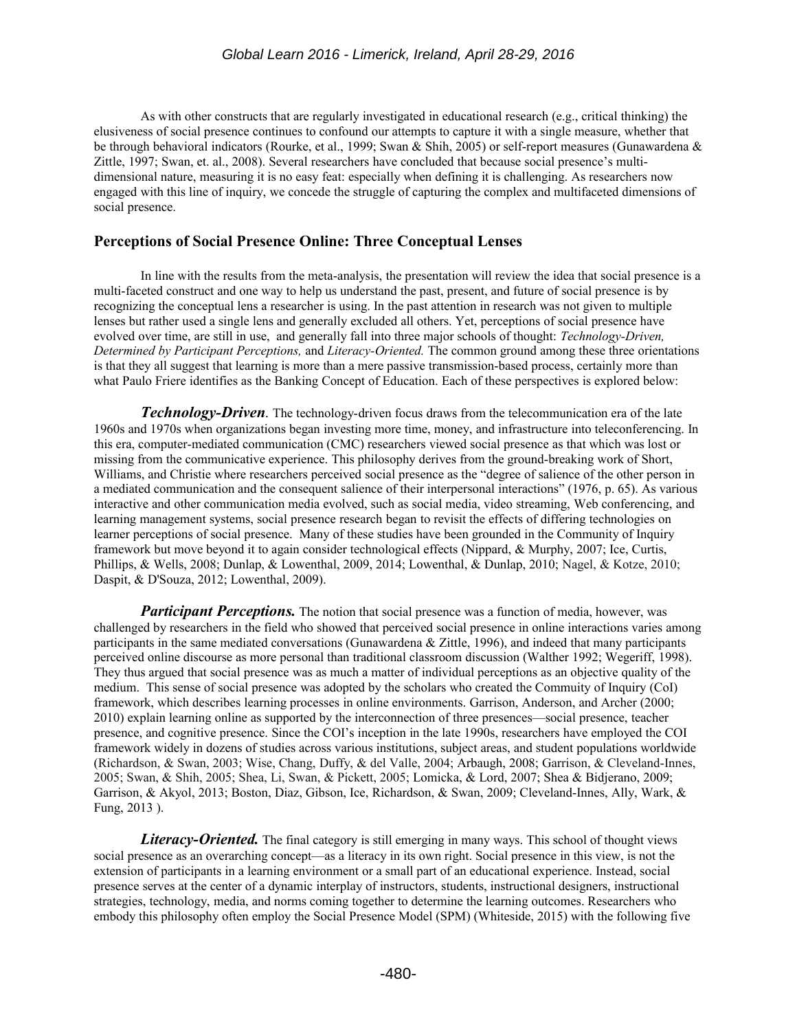As with other constructs that are regularly investigated in educational research (e.g., critical thinking) the elusiveness of social presence continues to confound our attempts to capture it with a single measure, whether that be through behavioral indicators (Rourke, et al., 1999; Swan & Shih, 2005) or self-report measures (Gunawardena & Zittle, 1997; Swan, et. al., 2008). Several researchers have concluded that because social presence's multidimensional nature, measuring it is no easy feat: especially when defining it is challenging. As researchers now engaged with this line of inquiry, we concede the struggle of capturing the complex and multifaceted dimensions of social presence.

## **Perceptions of Social Presence Online: Three Conceptual Lenses**

In line with the results from the meta-analysis, the presentation will review the idea that social presence is a multi-faceted construct and one way to help us understand the past, present, and future of social presence is by recognizing the conceptual lens a researcher is using. In the past attention in research was not given to multiple lenses but rather used a single lens and generally excluded all others. Yet, perceptions of social presence have evolved over time, are still in use, and generally fall into three major schools of thought: *Technology-Driven, Determined by Participant Perceptions,* and *Literacy-Oriented.* The common ground among these three orientations is that they all suggest that learning is more than a mere passive transmission-based process, certainly more than what Paulo Friere identifies as the Banking Concept of Education. Each of these perspectives is explored below:

*Technology-Driven.* The technology-driven focus draws from the telecommunication era of the late 1960s and 1970s when organizations began investing more time, money, and infrastructure into teleconferencing. In this era, computer-mediated communication (CMC) researchers viewed social presence as that which was lost or missing from the communicative experience. This philosophy derives from the ground-breaking work of Short, Williams, and Christie where researchers perceived social presence as the "degree of salience of the other person in a mediated communication and the consequent salience of their interpersonal interactions" (1976, p. 65). As various interactive and other communication media evolved, such as social media, video streaming, Web conferencing, and learning management systems, social presence research began to revisit the effects of differing technologies on learner perceptions of social presence. Many of these studies have been grounded in the Community of Inquiry framework but move beyond it to again consider technological effects (Nippard, & Murphy, 2007; Ice, Curtis, Phillips, & Wells, 2008; Dunlap, & Lowenthal, 2009, 2014; Lowenthal, & Dunlap, 2010; Nagel, & Kotze, 2010; Daspit, & D'Souza, 2012; Lowenthal, 2009).

*Participant Perceptions.* The notion that social presence was a function of media, however, was challenged by researchers in the field who showed that perceived social presence in online interactions varies among participants in the same mediated conversations (Gunawardena & Zittle, 1996), and indeed that many participants perceived online discourse as more personal than traditional classroom discussion (Walther 1992; Wegeriff, 1998). They thus argued that social presence was as much a matter of individual perceptions as an objective quality of the medium. This sense of social presence was adopted by the scholars who created the Commuity of Inquiry (CoI) framework, which describes learning processes in online environments. Garrison, Anderson, and Archer (2000; 2010) explain learning online as supported by the interconnection of three presences—social presence, teacher presence, and cognitive presence. Since the COI's inception in the late 1990s, researchers have employed the COI framework widely in dozens of studies across various institutions, subject areas, and student populations worldwide (Richardson, & Swan, 2003; Wise, Chang, Duffy, & del Valle, 2004; Arbaugh, 2008; Garrison, & Cleveland-Innes, 2005; Swan, & Shih, 2005; Shea, Li, Swan, & Pickett, 2005; Lomicka, & Lord, 2007; Shea & Bidjerano, 2009; Garrison, & Akyol, 2013; Boston, Diaz, Gibson, Ice, Richardson, & Swan, 2009; Cleveland-Innes, Ally, Wark, & Fung, 2013 ).

*Literacy-Oriented.* The final category is still emerging in many ways. This school of thought views social presence as an overarching concept—as a literacy in its own right. Social presence in this view, is not the extension of participants in a learning environment or a small part of an educational experience. Instead, social presence serves at the center of a dynamic interplay of instructors, students, instructional designers, instructional strategies, technology, media, and norms coming together to determine the learning outcomes. Researchers who embody this philosophy often employ the Social Presence Model (SPM) (Whiteside, 2015) with the following five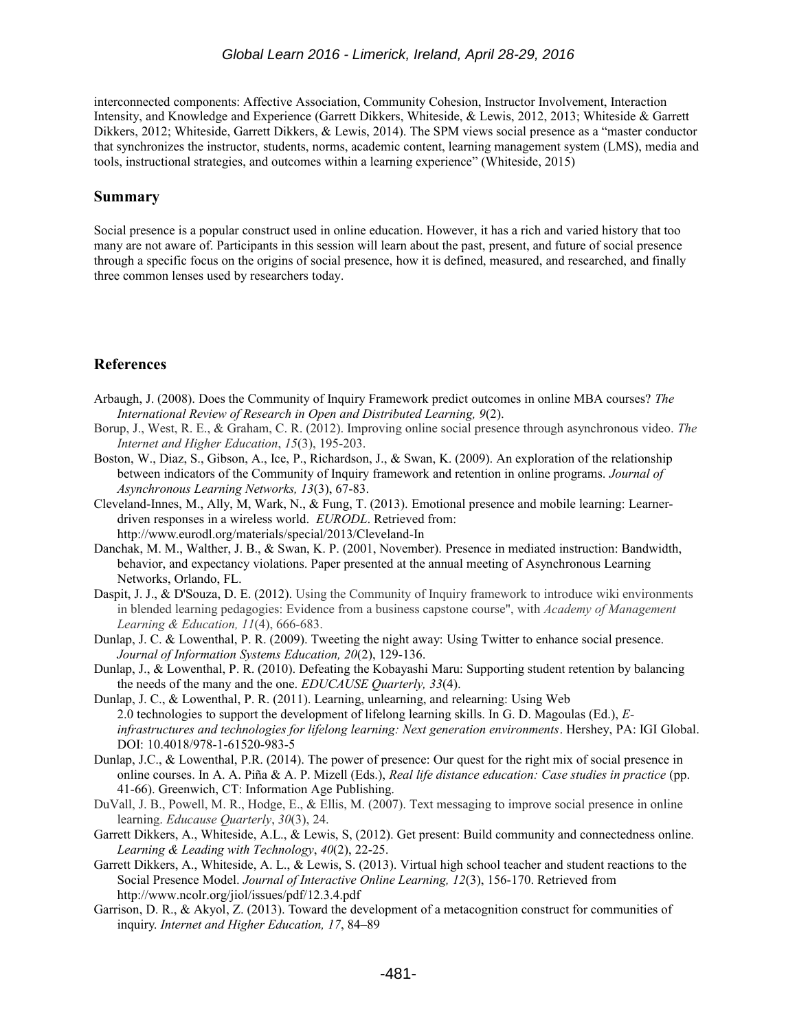interconnected components: Affective Association, Community Cohesion, Instructor Involvement, Interaction Intensity, and Knowledge and Experience (Garrett Dikkers, Whiteside, & Lewis, 2012, 2013; Whiteside & Garrett Dikkers, 2012; Whiteside, Garrett Dikkers, & Lewis, 2014). The SPM views social presence as a "master conductor that synchronizes the instructor, students, norms, academic content, learning management system (LMS), media and tools, instructional strategies, and outcomes within a learning experience" (Whiteside, 2015)

#### **Summary**

Social presence is a popular construct used in online education. However, it has a rich and varied history that too many are not aware of. Participants in this session will learn about the past, present, and future of social presence through a specific focus on the origins of social presence, how it is defined, measured, and researched, and finally three common lenses used by researchers today.

## **References**

- Arbaugh, J. (2008). Does the Community of Inquiry Framework predict outcomes in online MBA courses? *The International Review of Research in Open and Distributed Learning, 9*(2).
- Borup, J., West, R. E., & Graham, C. R. (2012). Improving online social presence through asynchronous video. *The Internet and Higher Education*, *15*(3), 195-203.
- Boston, W., Diaz, S., Gibson, A., Ice, P., Richardson, J., & Swan, K. (2009). An exploration of the relationship between indicators of the Community of Inquiry framework and retention in online programs. *Journal of Asynchronous Learning Networks, 13*(3), 67-83.
- Cleveland-Innes, M., Ally, M, Wark, N., & Fung, T. (2013). Emotional presence and mobile learning: Learnerdriven responses in a wireless world. *EURODL*. Retrieved from: http://www.eurodl.org/materials/special/2013/Cleveland-In
- Danchak, M. M., Walther, J. B., & Swan, K. P. (2001, November). Presence in mediated instruction: Bandwidth, behavior, and expectancy violations. Paper presented at the annual meeting of Asynchronous Learning Networks, Orlando, FL.
- Daspit, J. J., & D'Souza, D. E. (2012). Using the Community of Inquiry framework to introduce wiki environments in blended learning pedagogies: Evidence from a business capstone course", with *Academy of Management Learning & Education, 11*(4), 666-683.
- Dunlap, J. C. & Lowenthal, P. R. (2009). Tweeting the night away: Using Twitter to enhance social presence. *Journal of Information Systems Education, 20*(2), 129-136.
- Dunlap, J., & Lowenthal, P. R. (2010). Defeating the Kobayashi Maru: Supporting student retention by balancing the needs of the many and the one. *EDUCAUSE Quarterly, 33*(4).
- Dunlap, J. C., & Lowenthal, P. R. (2011). Learning, unlearning, and relearning: Using Web 2.0 technologies to support the development of lifelong learning skills. In G. D. Magoulas (Ed.), *Einfrastructures and technologies for lifelong learning: Next generation environments*. Hershey, PA: IGI Global. DOI: 10.4018/978-1-61520-983-5
- Dunlap, J.C., & Lowenthal, P.R. (2014). The power of presence: Our quest for the right mix of social presence in online courses. In A. A. Piña & A. P. Mizell (Eds.), *Real life distance education: Case studies in practice* (pp. 41-66). Greenwich, CT: Information Age Publishing.
- DuVall, J. B., Powell, M. R., Hodge, E., & Ellis, M. (2007). Text messaging to improve social presence in online learning. *Educause Quarterly*, *30*(3), 24.
- Garrett Dikkers, A., Whiteside, A.L., & Lewis, S, (2012). Get present: Build community and connectedness online*. Learning & Leading with Technology*, *40*(2), 22-25.
- Garrett Dikkers, A., Whiteside, A. L., & Lewis, S. (2013). Virtual high school teacher and student reactions to the Social Presence Model. *Journal of Interactive Online Learning, 12*(3), 156-170. Retrieved from http://www.ncolr.org/jiol/issues/pdf/12.3.4.pdf
- Garrison, D. R., & Akyol, Z. (2013). Toward the development of a metacognition construct for communities of inquiry. *Internet and Higher Education, 17*, 84–89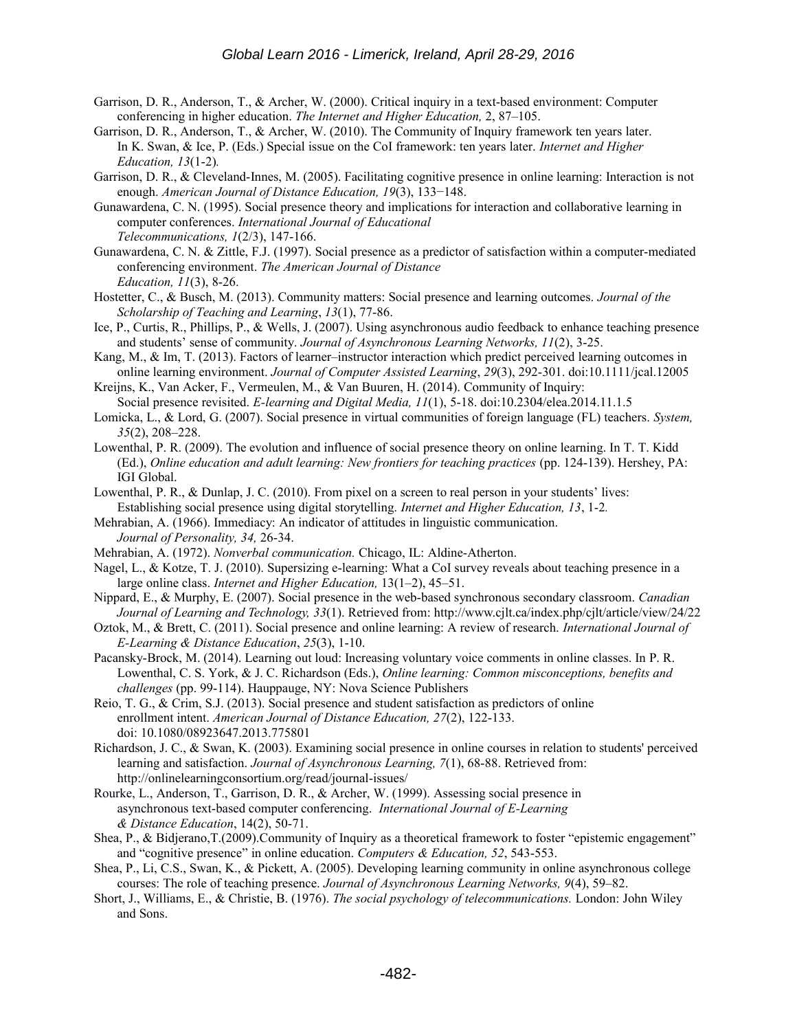- Garrison, D. R., Anderson, T., & Archer, W. (2000). Critical inquiry in a text-based environment: Computer conferencing in higher education. *The Internet and Higher Education,* 2, 87–105.
- Garrison, D. R., Anderson, T., & Archer, W. (2010). The Community of Inquiry framework ten years later. In K. Swan, & Ice, P. (Eds.) Special issue on the CoI framework: ten years later. *Internet and Higher Education, 13*(1-2)*.*
- Garrison, D. R., & Cleveland-Innes, M. (2005). Facilitating cognitive presence in online learning: Interaction is not enough. *American Journal of Distance Education, 19*(3), 133−148.
- Gunawardena, C. N. (1995). Social presence theory and implications for interaction and collaborative learning in computer conferences. *International Journal of Educational Telecommunications, 1*(2/3), 147-166.
- Gunawardena, C. N. & Zittle, F.J. (1997). Social presence as a predictor of satisfaction within a computer-mediated conferencing environment. *The American Journal of Distance Education, 11*(3), 8-26.
- Hostetter, C., & Busch, M. (2013). Community matters: Social presence and learning outcomes. *Journal of the Scholarship of Teaching and Learning*, *13*(1), 77-86.
- Ice, P., Curtis, R., Phillips, P., & Wells, J. (2007). Using asynchronous audio feedback to enhance teaching presence and students' sense of community. *Journal of Asynchronous Learning Networks, 11*(2), 3-25.
- Kang, M., & Im, T. (2013). Factors of learner–instructor interaction which predict perceived learning outcomes in online learning environment. *Journal of Computer Assisted Learning*, *29*(3), 292-301. doi:10.1111/jcal.12005
- Kreijns, K., Van Acker, F., Vermeulen, M., & Van Buuren, H. (2014). Community of Inquiry: Social presence revisited. *E-learning and Digital Media, 11*(1), 5-18. doi:10.2304/elea.2014.11.1.5
- Lomicka, L., & Lord, G. (2007). Social presence in virtual communities of foreign language (FL) teachers. *System, 35*(2), 208–228.
- Lowenthal, P. R. (2009). The evolution and influence of social presence theory on online learning. In T. T. Kidd (Ed.), *Online education and adult learning: New frontiers for teaching practices* (pp. 124-139). Hershey, PA: IGI Global.
- Lowenthal, P. R., & Dunlap, J. C. (2010). From pixel on a screen to real person in your students' lives: Establishing social presence using digital storytelling. *Internet and Higher Education, 13*, 1-2*.*
- Mehrabian, A. (1966). Immediacy: An indicator of attitudes in linguistic communication. *Journal of Personality, 34,* 26-34.
- Mehrabian, A. (1972). *Nonverbal communication.* Chicago, IL: Aldine-Atherton.
- Nagel, L., & Kotze, T. J. (2010). Supersizing e-learning: What a CoI survey reveals about teaching presence in a large online class. *Internet and Higher Education,* 13(1–2), 45–51.
- Nippard, E., & Murphy, E. (2007). Social presence in the web-based synchronous secondary classroom. *Canadian Journal of Learning and Technology, 33*(1). Retrieved from: http://www.cjlt.ca/index.php/cjlt/article/view/24/22
- Oztok, M., & Brett, C. (2011). Social presence and online learning: A review of research. *International Journal of E-Learning & Distance Education*, *25*(3), 1-10.
- Pacansky-Brock, M. (2014). Learning out loud: Increasing voluntary voice comments in online classes. In P. R. Lowenthal, C. S. York, & J. C. Richardson (Eds.), *Online learning: Common misconceptions, benefits and challenges* (pp. 99-114). Hauppauge, NY: Nova Science Publishers
- Reio, T. G., & Crim, S.J. (2013). Social presence and student satisfaction as predictors of online enrollment intent. *American Journal of Distance Education, 27*(2), 122-133. doi: 10.1080/08923647.2013.775801
- Richardson, J. C., & Swan, K. (2003). Examining social presence in online courses in relation to students' perceived learning and satisfaction. *Journal of Asynchronous Learning, 7*(1), 68-88. Retrieved from: http://onlinelearningconsortium.org/read/journal-issues/
- Rourke, L., Anderson, T., Garrison, D. R., & Archer, W. (1999). Assessing social presence in asynchronous text-based computer conferencing. *International Journal of E-Learning & Distance Education*, 14(2), 50-71.
- Shea, P., & Bidjerano,T.(2009).Community of Inquiry as a theoretical framework to foster "epistemic engagement" and "cognitive presence" in online education. *Computers & Education, 52*, 543-553.
- Shea, P., Li, C.S., Swan, K., & Pickett, A. (2005). Developing learning community in online asynchronous college courses: The role of teaching presence. *Journal of Asynchronous Learning Networks, 9*(4), 59–82.
- Short, J., Williams, E., & Christie, B. (1976). *The social psychology of telecommunications.* London: John Wiley and Sons.